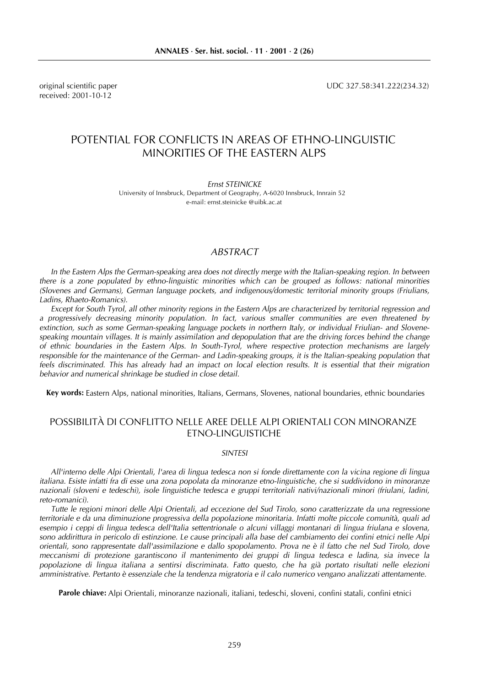received: 2001-10-12

original scientific paper UDC 327.58:341.222(234.32)

# POTENTIAL FOR CONFLICTS IN AREAS OF ETHNO-LINGUISTIC MINORITIES OF THE EASTERN ALPS

Ernst STEINICKE

University of Innsbruck, Department of Geography, A-6020 Innsbruck, Innrain 52 e-mail: ernst.steinicke @uibk.ac.at

## ABSTRACT

In the Eastern Alps the German-speaking area does not directly merge with the Italian-speaking region. In between there is a zone populated by ethno-linguistic minorities which can be grouped as follows: national minorities (Slovenes and Germans), German language pockets, and indigenous/domestic territorial minority groups (Friulians, Ladins, Rhaeto-Romanics).

Except for South Tyrol, all other minority regions in the Eastern Alps are characterized by territorial regression and a progressively decreasing minority population. In fact, various smaller communities are even threatened by extinction, such as some German-speaking language pockets in northern Italy, or individual Friulian- and Slovenespeaking mountain villages. It is mainly assimilation and depopulation that are the driving forces behind the change of ethnic boundaries in the Eastern Alps. In South-Tyrol, where respective protection mechanisms are largely responsible for the maintenance of the German- and Ladin-speaking groups, it is the Italian-speaking population that feels discriminated. This has already had an impact on local election results. It is essential that their migration behavior and numerical shrinkage be studied in close detail.

Key words: Eastern Alps, national minorities, Italians, Germans, Slovenes, national boundaries, ethnic boundaries

## POSSIBILITÀ DI CONFLITTO NELLE AREE DELLE ALPI ORIENTALI CON MINORANZE ETNO-LINGUISTICHE

## SINTESI

All'interno delle Alpi Orientali, l'area di lingua tedesca non si fonde direttamente con la vicina regione di lingua italiana. Esiste infatti fra di esse una zona popolata da minoranze etno-linguistiche, che si suddividono in minoranze nazionali (sloveni e tedeschi), isole linguistiche tedesca e gruppi territoriali nativi/nazionali minori (friulani, ladini, reto-romanici).

Tutte le regioni minori delle Alpi Orientali, ad eccezione del Sud Tirolo, sono caratterizzate da una regressione territoriale e da una diminuzione progressiva della popolazione minoritaria. Infatti molte piccole comunità, quali ad esempio i ceppi di lingua tedesca dell'Italia settentrionale o alcuni villaggi montanari di lingua friulana e slovena, sono addirittura in pericolo di estinzione. Le cause principali alla base del cambiamento dei confini etnici nelle Alpi orientali, sono rappresentate dall'assimilazione e dallo spopolamento. Prova ne è il fatto che nel Sud Tirolo, dove meccanismi di protezione garantiscono il mantenimento dei gruppi di lingua tedesca e ladina, sia invece la popolazione di lingua italiana a sentirsi discriminata. Fatto questo, che ha già portato risultati nelle elezioni amministrative. Pertanto è essenziale che la tendenza migratoria e il calo numerico vengano analizzati attentamente.

Parole chiave: Alpi Orientali, minoranze nazionali, italiani, tedeschi, sloveni, confini statali, confini etnici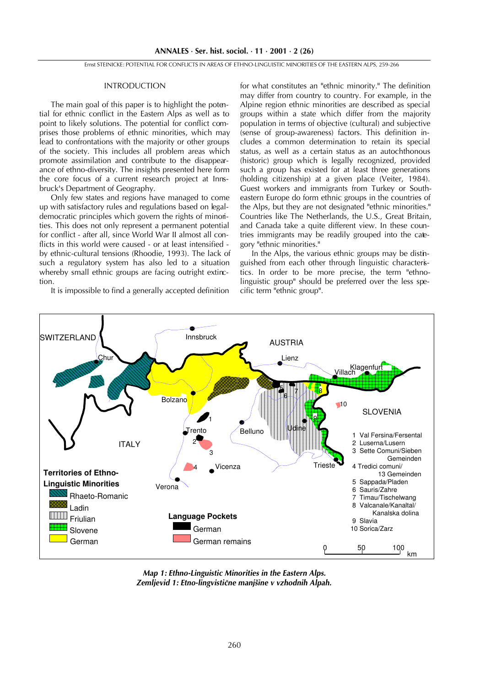Ernst STEINICKE: POTENTIAL FOR CONFLICTS IN AREAS OF ETHNO-LINGUISTIC MINORITIES OF THE EASTERN ALPS, 259-266

#### INTRODUCTION

The main goal of this paper is to highlight the potential for ethnic conflict in the Eastern Alps as well as to point to likely solutions. The potential for conflict comprises those problems of ethnic minorities, which may lead to confrontations with the majority or other groups of the society. This includes all problem areas which promote assimilation and contribute to the disappearance of ethno-diversity. The insights presented here form the core focus of a current research project at Innsbruck's Department of Geography.

Only few states and regions have managed to come up with satisfactory rules and regulations based on legaldemocratic principles which govern the rights of minorities. This does not only represent a permanent potential for conflict - after all, since World War II almost all conflicts in this world were caused - or at least intensified by ethnic-cultural tensions (Rhoodie, 1993). The lack of such a regulatory system has also led to a situation whereby small ethnic groups are facing outright extinction.

It is impossible to find a generally accepted definition

for what constitutes an "ethnic minority." The definition may differ from country to country. For example, in the Alpine region ethnic minorities are described as special groups within a state which differ from the majority population in terms of objective (cultural) and subjective (sense of group-awareness) factors. This definition includes a common determination to retain its special status, as well as a certain status as an autochthonous (historic) group which is legally recognized, provided such a group has existed for at least three generations (holding citizenship) at a given place (Veiter, 1984). Guest workers and immigrants from Turkey or Southeastern Europe do form ethnic groups in the countries of the Alps, but they are not designated "ethnic minorities." Countries like The Netherlands, the U.S., Great Britain, and Canada take a quite different view. In these countries immigrants may be readily grouped into the category "ethnic minorities."

In the Alps, the various ethnic groups may be distinguished from each other through linguistic characteristics. In order to be more precise, the term "ethnolinguistic group" should be preferred over the less specific term "ethnic group".



Map 1: Ethno-Linguistic Minorities in the Eastern Alps. Zemljevid 1: Etno-lingvistične manjšine v vzhodnih Alpah.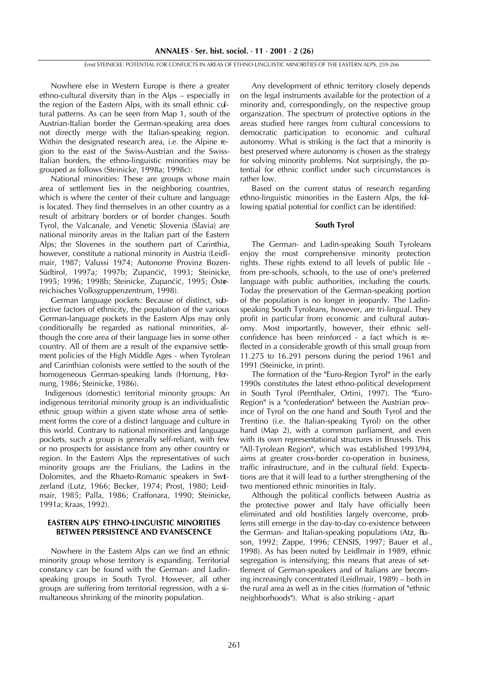Nowhere else in Western Europe is there a greater ethno-cultural diversity than in the Alps – especially in the region of the Eastern Alps, with its small ethnic cultural patterns. As can be seen from Map 1, south of the Austrian-Italian border the German-speaking area does not directly merge with the Italian-speaking region. Within the designated research area, i.e. the Alpine region to the east of the Swiss-Austrian and the Swiss-Italian borders, the ethno-linguistic minorities may be grouped as follows (Steinicke, 1998a; 1998c):

National minorities: These are groups whose main area of settlement lies in the neighboring countries, which is where the center of their culture and language is located. They find themselves in an other country as a result of arbitrary borders or of border changes. South Tyrol, the Valcanale, and Venetic Slovenia (Slavia) are national minority areas in the Italian part of the Eastern Alps; the Slovenes in the southern part of Carinthia, however, constitute a national minority in Austria (Leidlmair, 1987; Valussi 1974; Autonome Provinz Bozen-Südtirol, 1997a; 1997b; Zupančič, 1993; Steinicke, 1995; 1996; 1998b; Steinicke, Zupančič, 1995; Östereichisches Volksgruppenzentrum, 1998).

German language pockets: Because of distinct, subjective factors of ethnicity, the population of the various German-language pockets in the Eastern Alps may only conditionally be regarded as national minorities, although the core area of their language lies in some other country. All of them are a result of the expansive settlement policies of the High Middle Ages - when Tyrolean and Carinthian colonists were settled to the south of the homogeneous German-speaking lands (Hornung, Hornung, 1986; Steinicke, 1986).

Indigenous (domestic) territorial minority groups: An indigenous territorial minority group is an individualistic ethnic group within a given state whose area of settlement forms the core of a distinct language and culture in this world. Contrary to national minorities and language pockets, such a group is generally self-reliant, with few or no prospects for assistance from any other country or region. In the Eastern Alps the representatives of such minority groups are the Friulians, the Ladins in the Dolomites, and the Rhaeto-Romanic speakers in Switzerland (Lutz, 1966; Becker, 1974; Prost, 1980; Leidmair, 1985; Palla, 1986; Craffonara, 1990; Steinicke, 1991a; Kraas, 1992).

### EASTERN ALPS' ETHNO-LINGUISTIC MINORITIES BETWEEN PERSISTENCE AND EVANESCENCE

Nowhere in the Eastern Alps can we find an ethnic minority group whose territory is expanding. Territorial constancy can be found with the German- and Ladinspeaking groups in South Tyrol. However, all other groups are suffering from territorial regression, with a simultaneous shrinking of the minority population.

Any development of ethnic territory closely depends on the legal instruments available for the protection of a minority and, correspondingly, on the respective group organization. The spectrum of protective options in the areas studied here ranges from cultural concessions to democratic participation to economic and cultural autonomy. What is striking is the fact that a minority is best preserved where autonomy is chosen as the strategy for solving minority problems. Not surprisingly, the potential for ethnic conflict under such circumstances is rather low.

Based on the current status of research regarding ethno-linguistic minorities in the Eastern Alps, the following spatial potential for conflict can be identified:

#### South Tyrol

The German- and Ladin-speaking South Tyroleans enjoy the most comprehensive minority protection rights. These rights extend to all levels of public life from pre-schools, schools, to the use of one's preferred language with public authorities, including the courts. Today the preservation of the German-speaking portion of the population is no longer in jeopardy. The Ladinspeaking South Tyroleans, however, are tri-lingual. They profit in particular from economic and cultural autonomy. Most importantly, however, their ethnic selfconfidence has been reinforced - a fact which is reflected in a considerable growth of this small group from 11.275 to 16.291 persons during the period 1961 and 1991 (Steinicke, in print).

The formation of the "Euro-Region Tyrol" in the early 1990s constitutes the latest ethno-political development in South Tyrol (Pernthaler, Ortini, 1997). The "Euro-Region" is a "confederation" between the Austrian province of Tyrol on the one hand and South Tyrol and the Trentino (i.e. the Italian-speaking Tyrol) on the other hand (Map 2), with a common parliament, and even with its own representational structures in Brussels. This "All-Tyrolean Region", which was established 1993/94, aims at greater cross-border co-operation in business, traffic infrastructure, and in the cultural field. Expectations are that it will lead to a further strengthening of the two mentioned ethnic minorities in Italy.

Although the political conflicts between Austria as the protective power and Italy have officially been eliminated and old hostilities largely overcome, problems still emerge in the day-to-day co-existence between the German- and Italian-speaking populations (Atz, Buson, 1992; Zappe, 1996; CENSIS, 1997; Bauer et al., 1998). As has been noted by Leidlmair in 1989, ethnic segregation is intensifying; this means that areas of settlement of German-speakers and of Italians are becoming increasingly concentrated (Leidlmair, 1989) – both in the rural area as well as in the cities (formation of "ethnic neighborhoods"). What is also striking - apart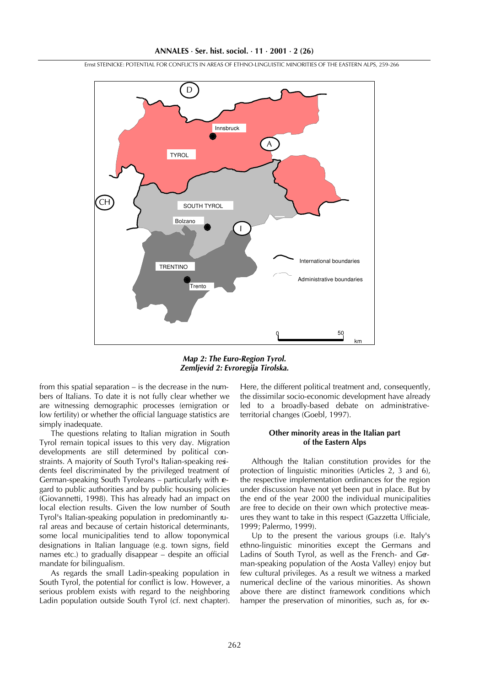0 50 km International boundaries Administrative boundaries TRENTINO **Trento** Innsbruck SOUTH TYROL TYROL Bolzano CH  $\mathsf{D}$ I A

Ernst STEINICKE: POTENTIAL FOR CONFLICTS IN AREAS OF ETHNO-LINGUISTIC MINORITIES OF THE EASTERN ALPS, 259-266

Map 2: The Euro-Region Tyrol. Zemljevid 2: Evroregija Tirolska.

from this spatial separation  $-$  is the decrease in the numbers of Italians. To date it is not fully clear whether we are witnessing demographic processes (emigration or low fertility) or whether the official language statistics are simply inadequate.

The questions relating to Italian migration in South Tyrol remain topical issues to this very day. Migration developments are still determined by political constraints. A majority of South Tyrol's Italian-speaking residents feel discriminated by the privileged treatment of German-speaking South Tyroleans - particularly with egard to public authorities and by public housing policies (Giovannetti, 1998). This has already had an impact on local election results. Given the low number of South Tyrol's Italian-speaking population in predominantly rural areas and because of certain historical determinants, some local municipalities tend to allow toponymical designations in Italian language (e.g. town signs, field names etc.) to gradually disappear  $-$  despite an official mandate for bilingualism.

As regards the small Ladin-speaking population in South Tyrol, the potential for conflict is low. However, a serious problem exists with regard to the neighboring Ladin population outside South Tyrol (cf. next chapter).

Here, the different political treatment and, consequently, the dissimilar socio-economic development have already led to a broadly-based debate on administrativeterritorial changes (Goebl, 1997).

## Other minority areas in the Italian part of the Eastern Alps

Although the Italian constitution provides for the protection of linguistic minorities (Articles 2, 3 and 6), the respective implementation ordinances for the region under discussion have not yet been put in place. But by the end of the year 2000 the individual municipalities are free to decide on their own which protective measures they want to take in this respect (Gazzetta Ufficiale, 1999; Palermo, 1999).

Up to the present the various groups (i.e. Italy's ethno-linguistic minorities except the Germans and Ladins of South Tyrol, as well as the French- and German-speaking population of the Aosta Valley) enjoy but few cultural privileges. As a result we witness a marked numerical decline of the various minorities. As shown above there are distinct framework conditions which hamper the preservation of minorities, such as, for ex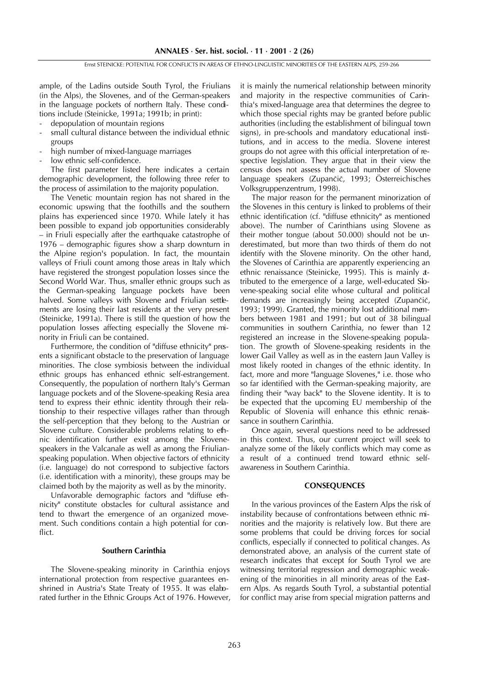ample, of the Ladins outside South Tyrol, the Friulians (in the Alps), the Slovenes, and of the German-speakers in the language pockets of northern Italy. These conditions include (Steinicke, 1991a; 1991b; in print):

- depopulation of mountain regions
- small cultural distance between the individual ethnic groups
- high number of mixed-language marriages
- low ethnic self-confidence.

The first parameter listed here indicates a certain demographic development, the following three refer to the process of assimilation to the majority population.

The Venetic mountain region has not shared in the economic upswing that the foothills and the southern plains has experienced since 1970. While lately it has been possible to expand job opportunities considerably - in Friuli especially after the earthquake catastrophe of  $1976$  – demographic figures show a sharp downturn in the Alpine region's population. In fact, the mountain valleys of Friuli count among those areas in Italy which have registered the strongest population losses since the Second World War. Thus, smaller ethnic groups such as the German-speaking language pockets have been halved. Some valleys with Slovene and Friulian settlements are losing their last residents at the very present (Steinicke, 1991a). There is still the question of how the population losses affecting especially the Slovene minority in Friuli can be contained.

Furthermore, the condition of "diffuse ethnicity" presents a significant obstacle to the preservation of language minorities. The close symbiosis between the individual ethnic groups has enhanced ethnic self-estrangement. Consequently, the population of northern Italy's German language pockets and of the Slovene-speaking Resia area tend to express their ethnic identity through their relationship to their respective villages rather than through the self-perception that they belong to the Austrian or Slovene culture. Considerable problems relating to ethnic identification further exist among the Slovenespeakers in the Valcanale as well as among the Friulianspeaking population. When objective factors of ethnicity (i.e. language) do not correspond to subjective factors (i.e. identification with a minority), these groups may be claimed both by the majority as well as by the minority.

Unfavorable demographic factors and "diffuse ethnicity" constitute obstacles for cultural assistance and tend to thwart the emergence of an organized movement. Such conditions contain a high potential for conflict.

#### Southern Carinthia

The Slovene-speaking minority in Carinthia enjoys international protection from respective guarantees enshrined in Austria's State Treaty of 1955. It was elaborated further in the Ethnic Groups Act of 1976. However, it is mainly the numerical relationship between minority and majority in the respective communities of Carinthia's mixed-language area that determines the degree to which those special rights may be granted before public authorities (including the establishment of bilingual town signs), in pre-schools and mandatory educational institutions, and in access to the media. Slovene interest groups do not agree with this official interpretation of respective legislation. They argue that in their view the census does not assess the actual number of Slovene language speakers (Zupančič, 1993; Österreichisches Volksgruppenzentrum, 1998).

The major reason for the permanent minorization of the Slovenes in this century is linked to problems of their ethnic identification (cf. "diffuse ethnicity" as mentioned above). The number of Carinthians using Slovene as their mother tongue (about 50.000) should not be underestimated, but more than two thirds of them do not identify with the Slovene minority. On the other hand, the Slovenes of Carinthia are apparently experiencing an ethnic renaissance (Steinicke, 1995). This is mainly attributed to the emergence of a large, well-educated Slovene-speaking social elite whose cultural and political demands are increasingly being accepted (Zupančič, 1993; 1999). Granted, the minority lost additional members between 1981 and 1991; but out of 38 bilingual communities in southern Carinthia, no fewer than 12 registered an increase in the Slovene-speaking population. The growth of Slovene-speaking residents in the lower Gail Valley as well as in the eastern Jaun Valley is most likely rooted in changes of the ethnic identity. In fact, more and more "language Slovenes," i.e. those who so far identified with the German-speaking majority, are finding their "way back" to the Slovene identity. It is to be expected that the upcoming EU membership of the Republic of Slovenia will enhance this ethnic renaissance in southern Carinthia.

Once again, several questions need to be addressed in this context. Thus, our current project will seek to analyze some of the likely conflicts which may come as a result of a continued trend toward ethnic selfawareness in Southern Carinthia.

#### **CONSEQUENCES**

In the various provinces of the Eastern Alps the risk of instability because of confrontations between ethnic minorities and the majority is relatively low. But there are some problems that could be driving forces for social conflicts, especially if connected to political changes. As demonstrated above, an analysis of the current state of research indicates that except for South Tyrol we are witnessing territorial regression and demographic weakening of the minorities in all minority areas of the Eastern Alps. As regards South Tyrol, a substantial potential for conflict may arise from special migration patterns and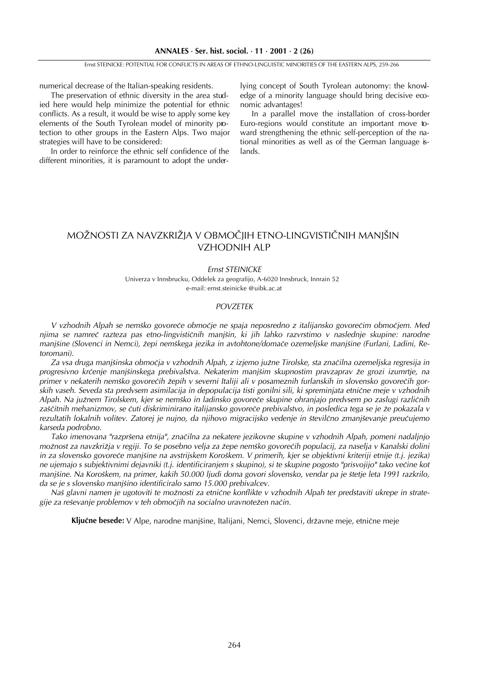Ernst STEINICKE: POTENTIAL FOR CONFLICTS IN AREAS OF ETHNO-LINGUISTIC MINORITIES OF THE EASTERN ALPS, 259-266

numerical decrease of the Italian-speaking residents.

The preservation of ethnic diversity in the area studied here would help minimize the potential for ethnic conflicts. As a result, it would be wise to apply some key elements of the South Tyrolean model of minority protection to other groups in the Eastern Alps. Two major strategies will have to be considered:

In order to reinforce the ethnic self confidence of the different minorities, it is paramount to adopt the underlying concept of South Tyrolean autonomy: the knowledge of a minority language should bring decisive economic advantages!

In a parallel move the installation of cross-border Euro-regions would constitute an important move toward strengthening the ethnic self-perception of the national minorities as well as of the German language islands.

## MOŽNOSTI ZA NAVZKRIŽJA V OBMOČJIH ETNO-LINGVISTIČNIH MANJŠIN VZHODNIH ALP

#### Ernst STEINICKE

Univerza v Innsbrucku, Oddelek za geografijo, A-6020 Innsbruck, Innrain 52 e-mail: ernst.steinicke @uibk.ac.at

### POVZETEK

V vzhodnih Alpah se nemško govoreče območje ne spaja neposredno z italijansko govorečim območjem. Med njima se namreč razteza pas etno-lingvističnih manjšin, ki jih lahko razvrstimo v naslednje skupine: narodne manjšine (Slovenci in Nemci), žepi nemškega jezika in avtohtone/domače ozemeljske manjšine (Furlani, Ladini, Retoromani).

Za vsa druga manjšinska območja v vzhodnih Alpah, z izjemo južne Tirolske, sta značilna ozemeljska regresija in progresivno krčenje manjšinskega prebivalstva. Nekaterim manjšim skupnostim pravzaprav že grozi izumrtje, na primer v nekaterih nemško govorečih žepih v severni Italiji ali v posameznih furlanskih in slovensko govorečih gorskih vaseh. Seveda sta predvsem asimilacija in depopulacija tisti gonilni sili, ki spreminjata etnične meje v vzhodnih Alpah. Na južnem Tirolskem, kjer se nemško in ladinsko govoreče skupine ohranjajo predvsem po zaslugi različnih zaščitnih mehanizmov, se čuti diskriminirano italijansko govoreče prebivalstvo, in posledica tega se je že pokazala v rezultatih lokalnih volitev. Zatorej je nujno, da njihovo migracijsko vedenje in številčno zmanjševanje preučujemo karseda podrobno.

Tako imenovana "razpršena etnija", značilna za nekatere jezikovne skupine v vzhodnih Alpah, pomeni nadaljnjo možnost za navzkrižja v regiji. To še posebno velja za žepe nemško govorečih populacij, za naselja v Kanalski dolini in za slovensko govoreče manjšine na avstrijskem Koroškem. V primerih, kjer se objektivni kriteriji etnije (t.j. jezika) ne ujemajo s subjektivnimi dejavniki (t.j. identificiranjem s skupino), si te skupine pogosto "prisvojijo" tako večine kot manjšine. Na Koroškem, na primer, kakih 50.000 ljudi doma govori slovensko, vendar pa je štetje leta 1991 razkrilo, da se je s slovensko manjšino identificiralo samo 15.000 prebivalcev.

Naš glavni namen je ugotoviti te možnosti za etnične konflikte v vzhodnih Alpah ter predstaviti ukrepe in strategije za reševanje problemov v teh območjih na socialno uravnotežen način.

Ključne besede: V Alpe, narodne manjšine, Italijani, Nemci, Slovenci, državne meje, etnične meje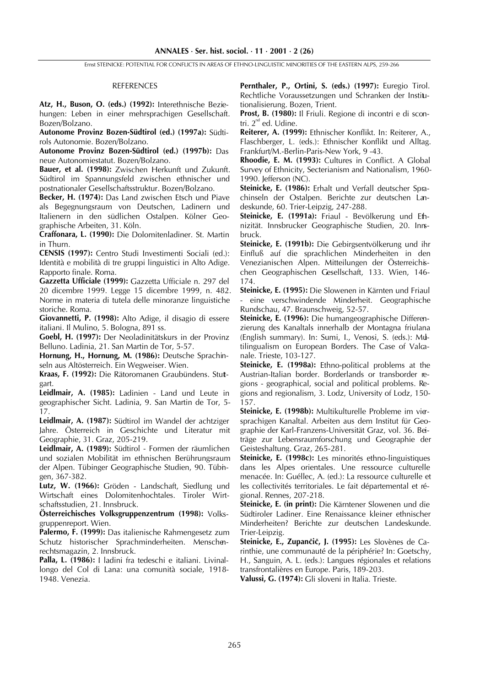Ernst STEINICKE: POTENTIAL FOR CONFLICTS IN AREAS OF ETHNO-LINGUISTIC MINORITIES OF THE EASTERN ALPS, 259-266

#### REFERENCES

Atz, H., Buson, O. (eds.) (1992): Interethnische Beziehungen: Leben in einer mehrsprachigen Gesellschaft. Bozen/Bolzano.

Autonome Provinz Bozen-Südtirol (ed.) (1997a): Südtirols Autonomie. Bozen/Bolzano.

Autonome Provinz Bozen-Südtirol (ed.) (1997b): Das neue Autonomiestatut. Bozen/Bolzano.

Bauer, et al. (1998): Zwischen Herkunft und Zukunft. Südtirol im Spannungsfeld zwischen ethnischer und postnationaler Gesellschaftsstruktur. Bozen/Bolzano.

Becker, H. (1974): Das Land zwischen Etsch und Piave als Begegnungsraum von Deutschen, Ladinern und Italienern in den südlichen Ostalpen. Kölner Geographische Arbeiten, 31. Köln.

Craffonara, L. (1990): Die Dolomitenladiner. St. Martin in Thurn.

CENSIS (1997): Centro Studi Investimenti Sociali (ed.): Identità e mobilità di tre gruppi linguistici in Alto Adige. Rapporto finale. Roma.

Gazzetta Ufficiale (1999): Gazzetta Ufficiale n. 297 del 20 dicembre 1999. Legge 15 dicembre 1999, n. 482. Norme in materia di tutela delle minoranze linguistiche storiche. Roma.

Giovannetti, P. (1998): Alto Adige, il disagio di essere italiani. Il Mulino, 5. Bologna, 891 ss.

Goebl, H. (1997): Der Neoladinitätskurs in der Provinz Belluno. Ladinia, 21. San Martin de Tor, 5-57.

Hornung, H., Hornung, M. (1986): Deutsche Sprachinseln aus Altösterreich. Ein Wegweiser. Wien.

Kraas, F. (1992): Die Rätoromanen Graubündens. Stuttgart.

Leidlmair, A. (1985): Ladinien - Land und Leute in geographischer Sicht. Ladinia, 9. San Martin de Tor, 5- 17.

Leidlmair, A. (1987): Südtirol im Wandel der achtziger Jahre. Österreich in Geschichte und Literatur mit Geographie, 31. Graz, 205-219.

Leidlmair, A. (1989): Südtirol - Formen der räumlichen und sozialen Mobilität im ethnischen Berührungsraum der Alpen. Tübinger Geographische Studien, 90. Tübingen, 367-382.

Lutz, W. (1966): Gröden - Landschaft, Siedlung und Wirtschaft eines Dolomitenhochtales. Tiroler Wirtschaftsstudien, 21. Innsbruck.

Österreichisches Volksgruppenzentrum (1998): Volksgruppenreport. Wien.

Palermo, F. (1999): Das italienische Rahmengesetz zum Schutz historischer Sprachminderheiten. Menschenrechtsmagazin, 2. Innsbruck.

Palla, L. (1986): I ladini fra tedeschi e italiani. Livinallongo del Col di Lana: una comunità sociale, 1918- 1948. Venezia.

Pernthaler, P., Ortini, S. (eds.) (1997): Euregio Tirol. Rechtliche Voraussetzungen und Schranken der Institutionalisierung. Bozen, Trient.

Prost, B. (1980): Il Friuli. Regione di incontri e di scontri. 2<sup>nd</sup> ed. Udine.

Reiterer, A. (1999): Ethnischer Konflikt. In: Reiterer, A., Flaschberger, L. (eds.): Ethnischer Konflikt und Alltag. Frankfurt/M.-Berlin-Paris-New York, 9 -43.

Rhoodie, E. M. (1993): Cultures in Conflict. A Global Survey of Ethnicity, Secterianism and Nationalism, 1960- 1990. Jefferson (NC).

Steinicke, E. (1986): Erhalt und Verfall deutscher Sprachinseln der Ostalpen. Berichte zur deutschen Landeskunde, 60. Trier-Leipzig, 247-288.

Steinicke, E. (1991a): Friaul - Bevölkerung und Ethnizität. Innsbrucker Geographische Studien, 20. Innsbruck.

Steinicke, E. (1991b): Die Gebirgsentvölkerung und ihr Einfluß auf die sprachlichen Minderheiten in den Venezianischen Alpen. Mitteilungen der Österreichischen Geographischen Gesellschaft, 133. Wien, 146- 174.

Steinicke, E. (1995): Die Slowenen in Kärnten und Friaul - eine verschwindende Minderheit. Geographische Rundschau, 47. Braunschweig, 52-57.

Steinicke, E. (1996): Die humangeographische Differenzierung des Kanaltals innerhalb der Montagna friulana (English summary). In: Sumi, I., Venosi, S. (eds.): Multilingualism on European Borders. The Case of Valcanale. Trieste, 103-127.

Steinicke, E. (1998a): Ethno-political problems at the Austrian-Italian border. Borderlands or transborder regions - geographical, social and political problems. Regions and regionalism, 3. Lodz, University of Lodz, 150- 157.

Steinicke, E. (1998b): Multikulturelle Probleme im viesprachigen Kanaltal. Arbeiten aus dem Institut für Geographie der Karl-Franzens-Universität Graz, vol. 36. Beiträge zur Lebensraumforschung und Geographie der Geisteshaltung. Graz, 265-281.

Steinicke, E. (1998c): Les minorités ethno-linguistiques dans les Alpes orientales. Une ressource culturelle menacée. In: Guéllec, A. (ed.): La ressource culturelle et les collectivités territoriales. Le fait départemental et régional. Rennes, 207-218.

Steinicke, E. (in print): Die Kärntener Slowenen und die Südtiroler Ladiner. Eine Renaissance kleiner ethnischer Minderheiten? Berichte zur deutschen Landeskunde. Trier-Leipzig.

Steinicke, E., Zupančič, J. (1995): Les Slovènes de Carinthie, une communauté de la périphérie? In: Goetschy, H., Sanguin, A. L. (eds.): Langues régionales et relations transfrontalières en Europe. Paris, 189-203.

Valussi, G. (1974): Gli sloveni in Italia. Trieste.